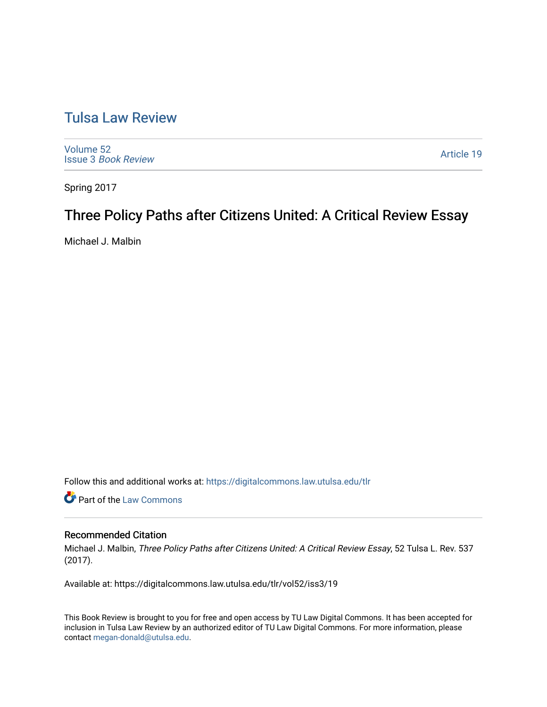## [Tulsa Law Review](https://digitalcommons.law.utulsa.edu/tlr)

[Volume 52](https://digitalcommons.law.utulsa.edu/tlr/vol52) Issue 3 [Book Review](https://digitalcommons.law.utulsa.edu/tlr/vol52/iss3)

[Article 19](https://digitalcommons.law.utulsa.edu/tlr/vol52/iss3/19) 

Spring 2017

# Three Policy Paths after Citizens United: A Critical Review Essay

Michael J. Malbin

Follow this and additional works at: [https://digitalcommons.law.utulsa.edu/tlr](https://digitalcommons.law.utulsa.edu/tlr?utm_source=digitalcommons.law.utulsa.edu%2Ftlr%2Fvol52%2Fiss3%2F19&utm_medium=PDF&utm_campaign=PDFCoverPages) 

**Part of the [Law Commons](http://network.bepress.com/hgg/discipline/578?utm_source=digitalcommons.law.utulsa.edu%2Ftlr%2Fvol52%2Fiss3%2F19&utm_medium=PDF&utm_campaign=PDFCoverPages)** 

### Recommended Citation

Michael J. Malbin, Three Policy Paths after Citizens United: A Critical Review Essay, 52 Tulsa L. Rev. 537 (2017).

Available at: https://digitalcommons.law.utulsa.edu/tlr/vol52/iss3/19

This Book Review is brought to you for free and open access by TU Law Digital Commons. It has been accepted for inclusion in Tulsa Law Review by an authorized editor of TU Law Digital Commons. For more information, please contact [megan-donald@utulsa.edu.](mailto:megan-donald@utulsa.edu)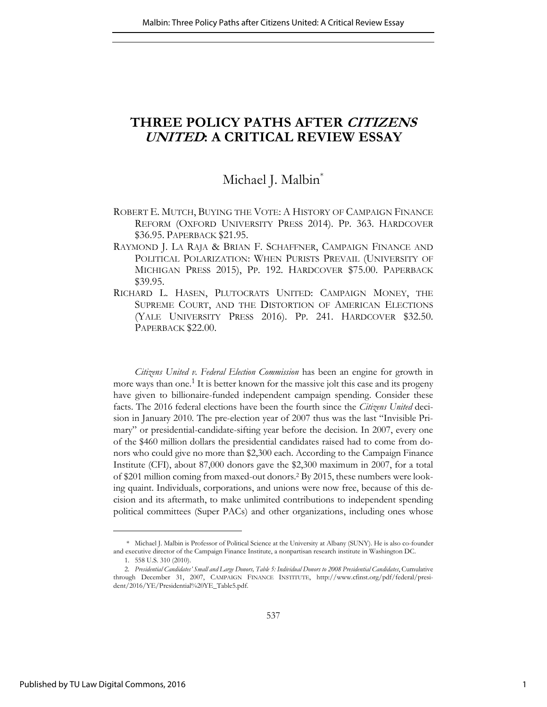## **THREE POLICY PATHS AFTER CITIZENS UNITED: A CRITICAL REVIEW ESSAY**

### Michael J. Malbin<sup>\*</sup>

- ROBERT E. MUTCH, BUYING THE VOTE: A HISTORY OF CAMPAIGN FINANCE REFORM (OXFORD UNIVERSITY PRESS 2014). PP. 363. HARDCOVER \$36.95. PAPERBACK \$21.95.
- RAYMOND J. LA RAJA & BRIAN F. SCHAFFNER, CAMPAIGN FINANCE AND POLITICAL POLARIZATION: WHEN PURISTS PREVAIL (UNIVERSITY OF MICHIGAN PRESS 2015), PP. 192. HARDCOVER \$75.00. PAPERBACK \$39.95.
- RICHARD L. HASEN, PLUTOCRATS UNITED: CAMPAIGN MONEY, THE SUPREME COURT, AND THE DISTORTION OF AMERICAN ELECTIONS (YALE UNIVERSITY PRESS 2016). PP. 241. HARDCOVER \$32.50. PAPERBACK \$22.00.

*Citizens United v. Federal Election Commission* has been an engine for growth in more ways than one.<sup>1</sup> It is better known for the massive jolt this case and its progeny have given to billionaire-funded independent campaign spending. Consider these facts. The 2016 federal elections have been the fourth since the *Citizens United* decision in January 2010*.* The pre-election year of 2007 thus was the last "Invisible Primary" or presidential-candidate-sifting year before the decision. In 2007, every one of the \$460 million dollars the presidential candidates raised had to come from donors who could give no more than \$2,300 each. According to the Campaign Finance Institute (CFI), about 87,000 donors gave the \$2,300 maximum in 2007, for a total of \$201 million coming from maxed-out donors.<sup>2</sup> By 2015, these numbers were looking quaint. Individuals, corporations, and unions were now free, because of this decision and its aftermath, to make unlimited contributions to independent spending political committees (Super PACs) and other organizations, including ones whose

 <sup>\*</sup> Michael J. Malbin is Professor of Political Science at the University at Albany (SUNY). He is also co-founder and executive director of the Campaign Finance Institute, a nonpartisan research institute in Washington DC.

<sup>1. 558</sup> U.S. 310 (2010).

<sup>2.</sup> *Presidential Candidates' Small and Large Donors, Table 5: Individual Donors to 2008 Presidential Candidates*, Cumulative through December 31, 2007, CAMPAIGN FINANCE INSTITUTE, http://www.cfinst.org/pdf/federal/president/2016/YE/Presidential%20YE\_Table5.pdf.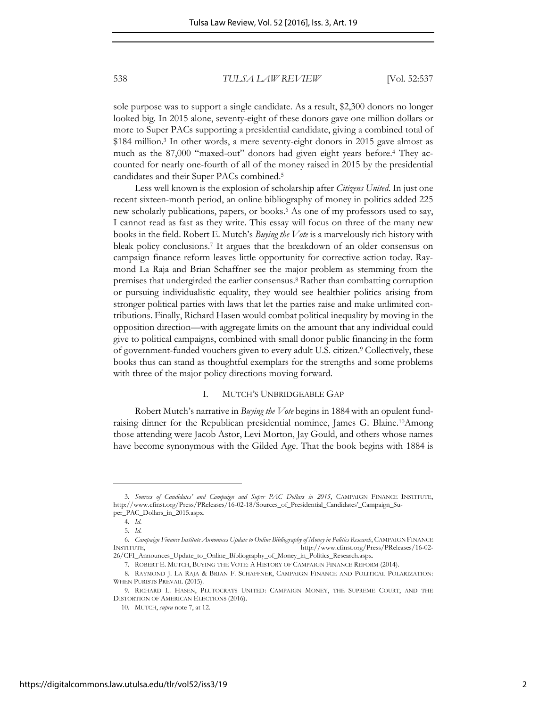sole purpose was to support a single candidate. As a result, \$2,300 donors no longer looked big. In 2015 alone, seventy-eight of these donors gave one million dollars or more to Super PACs supporting a presidential candidate, giving a combined total of \$184 million.<sup>3</sup> In other words, a mere seventy-eight donors in 2015 gave almost as much as the 87,000 "maxed-out" donors had given eight years before.<sup>4</sup> They accounted for nearly one-fourth of all of the money raised in 2015 by the presidential candidates and their Super PACs combined.<sup>5</sup>

Less well known is the explosion of scholarship after *Citizens United*. In just one recent sixteen-month period, an online bibliography of money in politics added 225 new scholarly publications, papers, or books.<sup>6</sup> As one of my professors used to say, I cannot read as fast as they write. This essay will focus on three of the many new books in the field. Robert E. Mutch's *Buying the Vote* is a marvelously rich history with bleak policy conclusions.<sup>7</sup> It argues that the breakdown of an older consensus on campaign finance reform leaves little opportunity for corrective action today. Raymond La Raja and Brian Schaffner see the major problem as stemming from the premises that undergirded the earlier consensus.<sup>8</sup> Rather than combatting corruption or pursuing individualistic equality, they would see healthier politics arising from stronger political parties with laws that let the parties raise and make unlimited contributions. Finally, Richard Hasen would combat political inequality by moving in the opposition direction—with aggregate limits on the amount that any individual could give to political campaigns, combined with small donor public financing in the form of government-funded vouchers given to every adult U.S. citizen.<sup>9</sup> Collectively, these books thus can stand as thoughtful exemplars for the strengths and some problems with three of the major policy directions moving forward.

#### I. MUTCH'S UNBRIDGEABLE GAP

Robert Mutch's narrative in *Buying the Vote* begins in 1884 with an opulent fundraising dinner for the Republican presidential nominee, James G. Blaine.10Among those attending were Jacob Astor, Levi Morton, Jay Gould, and others whose names have become synonymous with the Gilded Age. That the book begins with 1884 is

<sup>3.</sup> *Sources of Candidates' and Campaign and Super PAC Dollars in 2015*, CAMPAIGN FINANCE INSTITUTE, http://www.cfinst.org/Press/PReleases/16-02-18/Sources\_of\_Presidential\_Candidates'\_Campaign\_Super\_PAC\_Dollars\_in\_2015.aspx.

<sup>4.</sup> *Id*.

<sup>5.</sup> *Id*.

<sup>6.</sup> *Campaign Finance Institute Announces Update to Online Bibliography of Money in Politics Research*, CAMPAIGN FINANCE INSTITUTE, http://www.cfinst.org/Press/PReleases/16-02-

<sup>26/</sup>CFI\_Announces\_Update\_to\_Online\_Bibliography\_of\_Money\_in\_Politics\_Research.aspx. 7. ROBERT E. MUTCH, BUYING THE VOTE: A HISTORY OF CAMPAIGN FINANCE REFORM (2014).

<sup>8.</sup> RAYMOND J. LA RAJA & BRIAN F. SCHAFFNER, CAMPAIGN FINANCE AND POLITICAL POLARIZATION: WHEN PURISTS PREVAIL (2015).

<sup>9.</sup> RICHARD L. HASEN, PLUTOCRATS UNITED: CAMPAIGN MONEY, THE SUPREME COURT, AND THE DISTORTION OF AMERICAN ELECTIONS (2016).

<sup>10.</sup> MUTCH, *supra* note 7, at 12.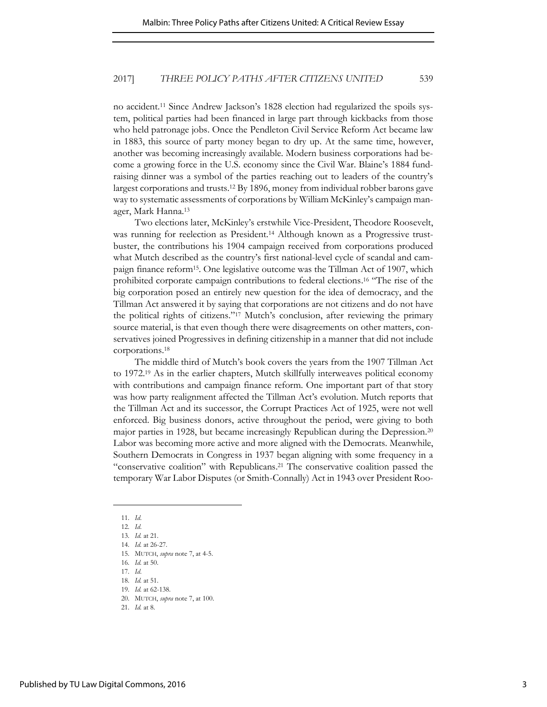no accident.<sup>11</sup> Since Andrew Jackson's 1828 election had regularized the spoils system, political parties had been financed in large part through kickbacks from those who held patronage jobs. Once the Pendleton Civil Service Reform Act became law in 1883, this source of party money began to dry up. At the same time, however, another was becoming increasingly available. Modern business corporations had become a growing force in the U.S. economy since the Civil War. Blaine's 1884 fundraising dinner was a symbol of the parties reaching out to leaders of the country's largest corporations and trusts.12 By 1896, money from individual robber barons gave way to systematic assessments of corporations by William McKinley's campaign manager, Mark Hanna.<sup>13</sup>

Two elections later, McKinley's erstwhile Vice-President, Theodore Roosevelt, was running for reelection as President.14 Although known as a Progressive trustbuster, the contributions his 1904 campaign received from corporations produced what Mutch described as the country's first national-level cycle of scandal and campaign finance reform15. One legislative outcome was the Tillman Act of 1907, which prohibited corporate campaign contributions to federal elections.<sup>16</sup> "The rise of the big corporation posed an entirely new question for the idea of democracy, and the Tillman Act answered it by saying that corporations are not citizens and do not have the political rights of citizens."<sup>17</sup> Mutch's conclusion, after reviewing the primary source material, is that even though there were disagreements on other matters, conservatives joined Progressives in defining citizenship in a manner that did not include corporations.<sup>18</sup>

The middle third of Mutch's book covers the years from the 1907 Tillman Act to 1972.19 As in the earlier chapters, Mutch skillfully interweaves political economy with contributions and campaign finance reform. One important part of that story was how party realignment affected the Tillman Act's evolution. Mutch reports that the Tillman Act and its successor, the Corrupt Practices Act of 1925, were not well enforced. Big business donors, active throughout the period, were giving to both major parties in 1928, but became increasingly Republican during the Depression.<sup>20</sup> Labor was becoming more active and more aligned with the Democrats. Meanwhile, Southern Democrats in Congress in 1937 began aligning with some frequency in a "conservative coalition" with Republicans. <sup>21</sup> The conservative coalition passed the temporary War Labor Disputes (or Smith-Connally) Act in 1943 over President Roo-

<sup>11.</sup> *Id*.

<sup>12.</sup> *Id*.

<sup>13.</sup> *Id.* at 21.

<sup>14.</sup> *Id.* at 26-27.

<sup>15.</sup> MUTCH, *supra* note 7, at 4-5.

<sup>16.</sup> *Id.* at 50.

<sup>17.</sup> *Id*.

<sup>18.</sup> *Id.* at 51.

<sup>19.</sup> *Id.* at 62-138.

<sup>20.</sup> MUTCH, *supra* note 7, at 100.

<sup>21.</sup> *Id.* at 8.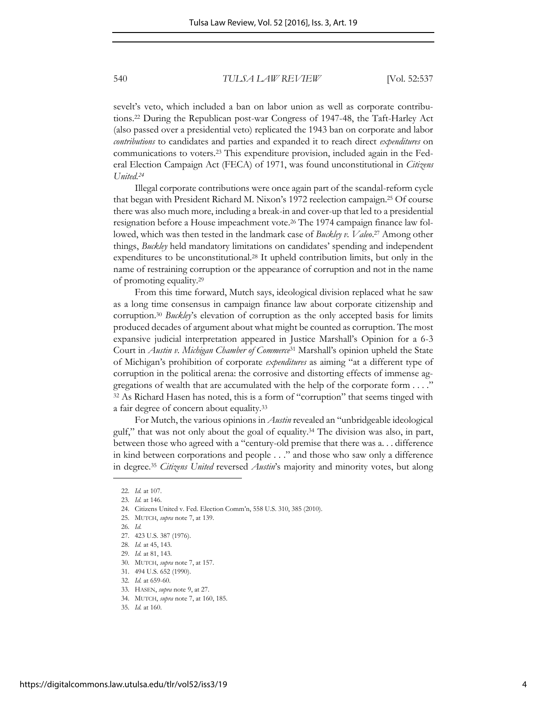sevelt's veto, which included a ban on labor union as well as corporate contributions.22 During the Republican post-war Congress of 1947-48, the Taft-Harley Act (also passed over a presidential veto) replicated the 1943 ban on corporate and labor *contributions* to candidates and parties and expanded it to reach direct *expenditures* on communications to voters.23 This expenditure provision, included again in the Federal Election Campaign Act (FECA) of 1971, was found unconstitutional in *Citizens United.<sup>24</sup>*

Illegal corporate contributions were once again part of the scandal-reform cycle that began with President Richard M. Nixon's 1972 reelection campaign.25 Of course there was also much more, including a break-in and cover-up that led to a presidential resignation before a House impeachment vote.26 The 1974 campaign finance law followed, which was then tested in the landmark case of *Buckley v. Valeo*. <sup>27</sup> Among other things, *Buckley* held mandatory limitations on candidates' spending and independent expenditures to be unconstitutional.28 It upheld contribution limits, but only in the name of restraining corruption or the appearance of corruption and not in the name of promoting equality.<sup>29</sup>

From this time forward, Mutch says, ideological division replaced what he saw as a long time consensus in campaign finance law about corporate citizenship and corruption.<sup>30</sup> *Buckley*'s elevation of corruption as the only accepted basis for limits produced decades of argument about what might be counted as corruption. The most expansive judicial interpretation appeared in Justice Marshall's Opinion for a 6-3 Court in *Austin v. Michigan Chamber of Commerce*<sup>31</sup> Marshall's opinion upheld the State of Michigan's prohibition of corporate *expenditures* as aiming "at a different type of corruption in the political arena: the corrosive and distorting effects of immense aggregations of wealth that are accumulated with the help of the corporate form . . . ." <sup>32</sup> As Richard Hasen has noted, this is a form of "corruption" that seems tinged with a fair degree of concern about equality.<sup>33</sup>

For Mutch, the various opinions in *Austin* revealed an "unbridgeable ideological gulf," that was not only about the goal of equality.34 The division was also, in part, between those who agreed with a "century-old premise that there was a. . . difference in kind between corporations and people . . ." and those who saw only a difference in degree.<sup>35</sup> *Citizens United* reversed *Austin*'s majority and minority votes, but along

<sup>22.</sup> *Id.* at 107.

<sup>23.</sup> *Id.* at 146.

<sup>24.</sup> Citizens United v. Fed. Election Comm'n, 558 U.S. 310, 385 (2010).

<sup>25.</sup> MUTCH, *supra* note 7, at 139.

<sup>26.</sup> *Id.*

<sup>27. 423</sup> U.S. 387 (1976).

<sup>28.</sup> *Id.* at 45, 143.

<sup>29.</sup> *Id.* at 81, 143.

<sup>30.</sup> MUTCH, *supra* note 7, at 157.

<sup>31. 494</sup> U.S. 652 (1990).

<sup>32.</sup> *Id.* at 659-60.

<sup>33.</sup> HASEN, *supra* note 9, at 27.

<sup>34.</sup> MUTCH, *supra* note 7, at 160, 185.

<sup>35.</sup> *Id.* at 160.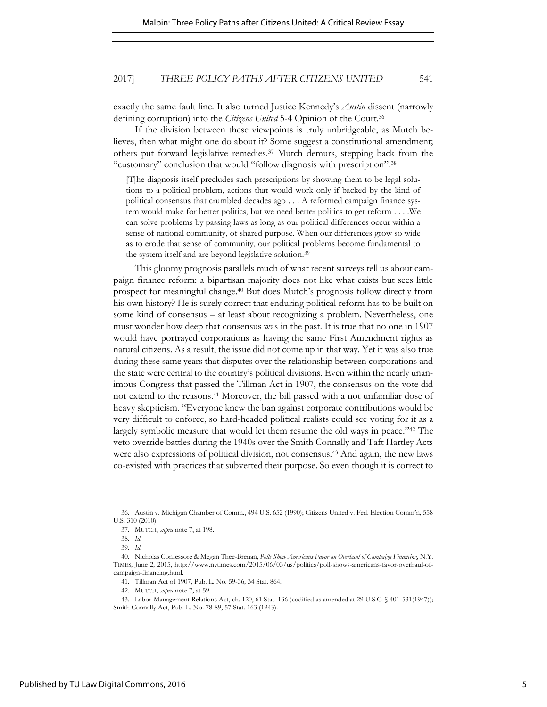exactly the same fault line. It also turned Justice Kennedy's *Austin* dissent (narrowly defining corruption) into the *Citizens United* 5-4 Opinion of the Court.<sup>36</sup>

If the division between these viewpoints is truly unbridgeable, as Mutch believes, then what might one do about it? Some suggest a constitutional amendment; others put forward legislative remedies.37 Mutch demurs, stepping back from the "customary" conclusion that would "follow diagnosis with prescription".<sup>38</sup>

[T]he diagnosis itself precludes such prescriptions by showing them to be legal solutions to a political problem, actions that would work only if backed by the kind of political consensus that crumbled decades ago . . . A reformed campaign finance system would make for better politics, but we need better politics to get reform . . . .We can solve problems by passing laws as long as our political differences occur within a sense of national community, of shared purpose. When our differences grow so wide as to erode that sense of community, our political problems become fundamental to the system itself and are beyond legislative solution.<sup>39</sup>

This gloomy prognosis parallels much of what recent surveys tell us about campaign finance reform: a bipartisan majority does not like what exists but sees little prospect for meaningful change.<sup>40</sup> But does Mutch's prognosis follow directly from his own history? He is surely correct that enduring political reform has to be built on some kind of consensus – at least about recognizing a problem. Nevertheless, one must wonder how deep that consensus was in the past. It is true that no one in 1907 would have portrayed corporations as having the same First Amendment rights as natural citizens. As a result, the issue did not come up in that way. Yet it was also true during these same years that disputes over the relationship between corporations and the state were central to the country's political divisions. Even within the nearly unanimous Congress that passed the Tillman Act in 1907, the consensus on the vote did not extend to the reasons.41 Moreover, the bill passed with a not unfamiliar dose of heavy skepticism. "Everyone knew the ban against corporate contributions would be very difficult to enforce, so hard-headed political realists could see voting for it as a largely symbolic measure that would let them resume the old ways in peace." <sup>42</sup> The veto override battles during the 1940s over the Smith Connally and Taft Hartley Acts were also expressions of political division, not consensus.43 And again, the new laws co-existed with practices that subverted their purpose. So even though it is correct to

<sup>36.</sup> Austin v. Michigan Chamber of Comm., 494 U.S. 652 (1990); Citizens United v. Fed. Election Comm'n, 558 U.S. 310 (2010).

<sup>37.</sup> MUTCH, *supra* note 7, at 198.

<sup>38.</sup> *Id.*

<sup>39.</sup> *Id.*

<sup>40.</sup> Nicholas Confessore & Megan Thee-Brenan, *Polls Show Americans Favor an Overhaul of Campaign Financing*, N.Y. TIMES, June 2, 2015, http://www.nytimes.com/2015/06/03/us/politics/poll-shows-americans-favor-overhaul-ofcampaign-financing.html.

<sup>41.</sup> Tillman Act of 1907, Pub. L. No. 59-36, 34 Stat. 864.

<sup>42.</sup> MUTCH, *supra* note 7, at 59.

<sup>43.</sup> Labor-Management Relations Act, ch. 120, 61 Stat. 136 (codified as amended at 29 U.S.C. § 401-531(1947)); Smith Connally Act, Pub. L. No. 78-89, 57 Stat. 163 (1943).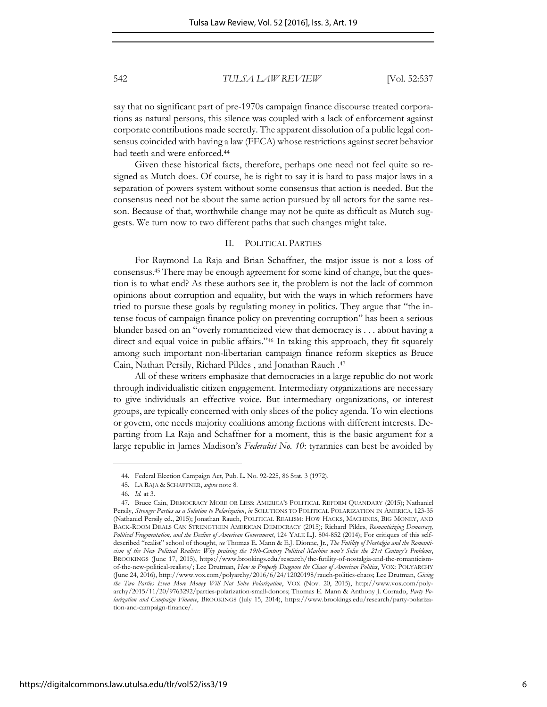say that no significant part of pre-1970s campaign finance discourse treated corporations as natural persons, this silence was coupled with a lack of enforcement against corporate contributions made secretly. The apparent dissolution of a public legal consensus coincided with having a law (FECA) whose restrictions against secret behavior had teeth and were enforced.<sup>44</sup>

Given these historical facts, therefore, perhaps one need not feel quite so resigned as Mutch does. Of course, he is right to say it is hard to pass major laws in a separation of powers system without some consensus that action is needed. But the consensus need not be about the same action pursued by all actors for the same reason. Because of that, worthwhile change may not be quite as difficult as Mutch suggests. We turn now to two different paths that such changes might take.

#### II. POLITICAL PARTIES

For Raymond La Raja and Brian Schaffner, the major issue is not a loss of consensus.45 There may be enough agreement for some kind of change, but the question is to what end? As these authors see it, the problem is not the lack of common opinions about corruption and equality, but with the ways in which reformers have tried to pursue these goals by regulating money in politics. They argue that "the intense focus of campaign finance policy on preventing corruption" has been a serious blunder based on an "overly romanticized view that democracy is . . . about having a direct and equal voice in public affairs." <sup>46</sup> In taking this approach, they fit squarely among such important non-libertarian campaign finance reform skeptics as Bruce Cain, Nathan Persily, Richard Pildes , and Jonathan Rauch .<sup>47</sup>

All of these writers emphasize that democracies in a large republic do not work through individualistic citizen engagement. Intermediary organizations are necessary to give individuals an effective voice. But intermediary organizations, or interest groups, are typically concerned with only slices of the policy agenda. To win elections or govern, one needs majority coalitions among factions with different interests. Departing from La Raja and Schaffner for a moment, this is the basic argument for a large republic in James Madison's *Federalist No. 10*: tyrannies can best be avoided by

<sup>44.</sup> Federal Election Campaign Act, Pub. L. No. 92-225, 86 Stat. 3 (1972).

<sup>45.</sup> LA RAJA & SCHAFFNER, *supra* note 8.

<sup>46.</sup> *Id.* at 3.

<sup>47.</sup> Bruce Cain, DEMOCRACY MORE OR LESS: AMERICA'S POLITICAL REFORM QUANDARY (2015); Nathaniel Persily, *Stronger Parties as a Solution to Polarization*, *in* SOLUTIONS TO POLITICAL POLARIZATION IN AMERICA, 123-35 (Nathaniel Persily ed., 2015); Jonathan Rauch, POLITICAL REALISM: HOW HACKS, MACHINES, BIG MONEY, AND BACK-ROOM DEALS CAN STRENGTHEN AMERICAN DEMOCRACY (2015); Richard Pildes, *Romanticizing Democracy, Political Fragmentation, and the Decline of American Government*, 124 YALE L.J. 804-852 (2014); For critiques of this selfdescribed "realist" school of thought, *see* Thomas E. Mann & E.J. Dionne, Jr., *The Futility of Nostalgia and the Romanticism of the New Political Realists: Why praising the 19th-Century Political Machine won't Solve the 21st Century's Problems*, BROOKINGS (June 17, 2015), https://www.brookings.edu/research/the-futility-of-nostalgia-and-the-romanticismof-the-new-political-realists/; Lee Drutman, *How to Properly Diagnose the Chaos of American Politics*, VOX: POLYARCHY (June 24, 2016), http://www.vox.com/polyarchy/2016/6/24/12020198/rauch-politics-chaos; Lee Drutman, *Giving the Two Parties Even More Money Will Not Solve Polarization*, VOX (Nov. 20, 2015), http://www.vox.com/polyarchy/2015/11/20/9763292/parties-polarization-small-donors; Thomas E. Mann & Anthony J. Corrado, *Party Polarization and Campaign Finance*, BROOKINGS (July 15, 2014), https://www.brookings.edu/research/party-polarization-and-campaign-finance/.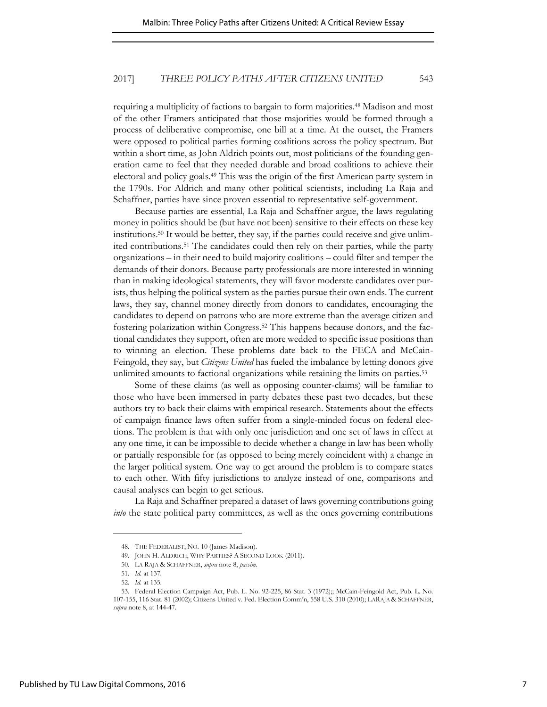requiring a multiplicity of factions to bargain to form majorities.48 Madison and most of the other Framers anticipated that those majorities would be formed through a process of deliberative compromise, one bill at a time. At the outset, the Framers were opposed to political parties forming coalitions across the policy spectrum. But within a short time, as John Aldrich points out, most politicians of the founding generation came to feel that they needed durable and broad coalitions to achieve their electoral and policy goals.<sup>49</sup> This was the origin of the first American party system in the 1790s. For Aldrich and many other political scientists, including La Raja and Schaffner, parties have since proven essential to representative self-government.

Because parties are essential, La Raja and Schaffner argue, the laws regulating money in politics should be (but have not been) sensitive to their effects on these key institutions.50 It would be better, they say, if the parties could receive and give unlimited contributions.51 The candidates could then rely on their parties, while the party organizations – in their need to build majority coalitions – could filter and temper the demands of their donors. Because party professionals are more interested in winning than in making ideological statements, they will favor moderate candidates over purists, thus helping the political system as the parties pursue their own ends. The current laws, they say, channel money directly from donors to candidates, encouraging the candidates to depend on patrons who are more extreme than the average citizen and fostering polarization within Congress.52 This happens because donors, and the factional candidates they support, often are more wedded to specific issue positions than to winning an election. These problems date back to the FECA and McCain-Feingold, they say, but *Citizens United* has fueled the imbalance by letting donors give unlimited amounts to factional organizations while retaining the limits on parties.<sup>53</sup>

Some of these claims (as well as opposing counter-claims) will be familiar to those who have been immersed in party debates these past two decades, but these authors try to back their claims with empirical research. Statements about the effects of campaign finance laws often suffer from a single-minded focus on federal elections. The problem is that with only one jurisdiction and one set of laws in effect at any one time, it can be impossible to decide whether a change in law has been wholly or partially responsible for (as opposed to being merely coincident with) a change in the larger political system. One way to get around the problem is to compare states to each other. With fifty jurisdictions to analyze instead of one, comparisons and causal analyses can begin to get serious.

La Raja and Schaffner prepared a dataset of laws governing contributions going *into* the state political party committees, as well as the ones governing contributions

<sup>48.</sup> THE FEDERALIST, NO. 10 (James Madison).

<sup>49.</sup> JOHN H. ALDRICH, WHY PARTIES? A SECOND LOOK (2011).

<sup>50.</sup> LA RAJA & SCHAFFNER, *supra* note 8, *passim.*

<sup>51.</sup> *Id.* at 137*.* 

<sup>52.</sup> *Id.* at 135*.* 

<sup>53.</sup> Federal Election Campaign Act, Pub. L. No. 92-225, 86 Stat. 3 (1972);; McCain-Feingold Act, Pub. L. No. 107-155, 116 Stat. 81 (2002); Citizens United v. Fed. Election Comm'n, 558 U.S. 310 (2010); LARAJA & SCHAFFNER, *supra* note 8, at 144-47.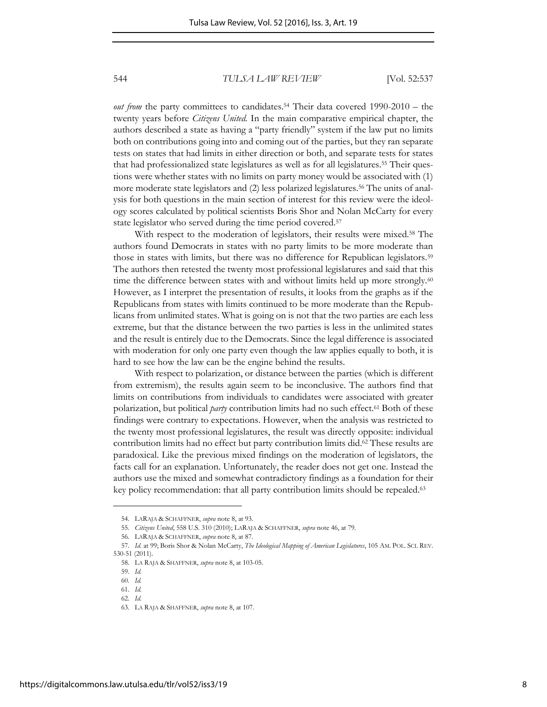*out from* the party committees to candidates.<sup>54</sup> Their data covered 1990-2010 – the twenty years before *Citizens United.* In the main comparative empirical chapter, the authors described a state as having a "party friendly" system if the law put no limits both on contributions going into and coming out of the parties, but they ran separate tests on states that had limits in either direction or both, and separate tests for states that had professionalized state legislatures as well as for all legislatures.<sup>55</sup> Their questions were whether states with no limits on party money would be associated with (1) more moderate state legislators and (2) less polarized legislatures.56 The units of analysis for both questions in the main section of interest for this review were the ideology scores calculated by political scientists Boris Shor and Nolan McCarty for every state legislator who served during the time period covered.<sup>57</sup>

With respect to the moderation of legislators, their results were mixed.<sup>58</sup> The authors found Democrats in states with no party limits to be more moderate than those in states with limits, but there was no difference for Republican legislators.<sup>59</sup> The authors then retested the twenty most professional legislatures and said that this time the difference between states with and without limits held up more strongly.<sup>60</sup> However, as I interpret the presentation of results, it looks from the graphs as if the Republicans from states with limits continued to be more moderate than the Republicans from unlimited states. What is going on is not that the two parties are each less extreme, but that the distance between the two parties is less in the unlimited states and the result is entirely due to the Democrats. Since the legal difference is associated with moderation for only one party even though the law applies equally to both, it is hard to see how the law can be the engine behind the results.

With respect to polarization, or distance between the parties (which is different from extremism), the results again seem to be inconclusive. The authors find that limits on contributions from individuals to candidates were associated with greater polarization, but political *party* contribution limits had no such effect.61 Both of these findings were contrary to expectations. However, when the analysis was restricted to the twenty most professional legislatures, the result was directly opposite: individual contribution limits had no effect but party contribution limits did.62 These results are paradoxical. Like the previous mixed findings on the moderation of legislators, the facts call for an explanation. Unfortunately, the reader does not get one. Instead the authors use the mixed and somewhat contradictory findings as a foundation for their key policy recommendation: that all party contribution limits should be repealed.<sup>63</sup>

<sup>54.</sup> LARAJA & SCHAFFNER, *supra* note 8, at 93.

<sup>55.</sup> *Citizens United*, 558 U.S. 310 (2010); LARAJA & SCHAFFNER, *supra* note 46, at 79*.* 

<sup>56.</sup> LARAJA & SCHAFFNER, *supra* note 8, at 87.

<sup>57.</sup> *Id.* at 99; Boris Shor & Nolan McCarty, *The Ideological Mapping of American Legislatures*, 105 AM. POL. SCI. REV. 530-51 (2011).

<sup>58.</sup> LA RAJA & SHAFFNER, *supra* note 8, at 103-05.

<sup>59.</sup> *Id.* 

<sup>60.</sup> *Id.* 

<sup>61.</sup> *Id.* 

<sup>62.</sup> *Id.* 

<sup>63.</sup> LA RAJA & SHAFFNER, *supra* note 8, at 107*.*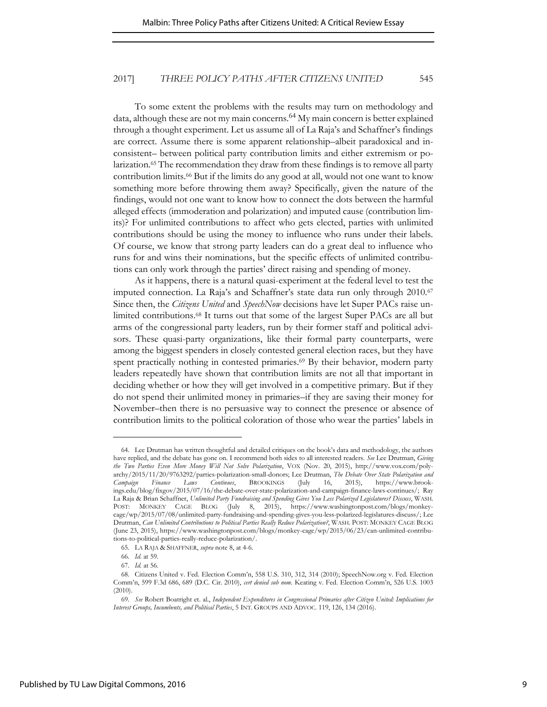To some extent the problems with the results may turn on methodology and data, although these are not my main concerns.<sup>64</sup> My main concern is better explained through a thought experiment. Let us assume all of La Raja's and Schaffner's findings are correct. Assume there is some apparent relationship–albeit paradoxical and inconsistent– between political party contribution limits and either extremism or polarization.<sup>65</sup> The recommendation they draw from these findings is to remove all party contribution limits.<sup>66</sup> But if the limits do any good at all, would not one want to know something more before throwing them away? Specifically, given the nature of the findings, would not one want to know how to connect the dots between the harmful alleged effects (immoderation and polarization) and imputed cause (contribution limits)? For unlimited contributions to affect who gets elected, parties with unlimited contributions should be using the money to influence who runs under their labels. Of course, we know that strong party leaders can do a great deal to influence who runs for and wins their nominations, but the specific effects of unlimited contributions can only work through the parties' direct raising and spending of money.

As it happens, there is a natural quasi-experiment at the federal level to test the imputed connection. La Raja's and Schaffner's state data run only through 2010.<sup>67</sup> Since then, the *Citizens United* and *SpeechNow* decisions have let Super PACs raise unlimited contributions.68 It turns out that some of the largest Super PACs are all but arms of the congressional party leaders, run by their former staff and political advisors. These quasi-party organizations, like their formal party counterparts, were among the biggest spenders in closely contested general election races, but they have spent practically nothing in contested primaries.<sup>69</sup> By their behavior, modern party leaders repeatedly have shown that contribution limits are not all that important in deciding whether or how they will get involved in a competitive primary. But if they do not spend their unlimited money in primaries–if they are saving their money for November–then there is no persuasive way to connect the presence or absence of contribution limits to the political coloration of those who wear the parties' labels in

<sup>64.</sup> Lee Drutman has written thoughtful and detailed critiques on the book's data and methodology, the authors have replied, and the debate has gone on. I recommend both sides to all interested readers. *See* Lee Drutman, *Giving the Two Parties Even More Money Will Not Solve Polarization*, VOX (Nov. 20, 2015), http://www.vox.com/polyarchy/2015/11/20/9763292/parties-polarization-small-donors; Lee Drutman, *The Debate Over State Polarization and Campaign Finance Laws Continues*, BROOKINGS (July 16, 2015), https://www.brookings.edu/blog/fixgov/2015/07/16/the-debate-over-state-polarization-and-campaign-finance-laws-continues/; Ray La Raja & Brian Schaffner, *Unlimited Party Fundraising and Spending Gives You Less Polarized Legislatures? Discuss*, WASH. POST: MONKEY CAGE BLOG (July 8, 2015), https://www.washingtonpost.com/blogs/monkeycage/wp/2015/07/08/unlimited-party-fundraising-and-spending-gives-you-less-polarized-legislatures-discuss/; Lee Drutman, *Can Unlimited Contributions to Political Parties Really Reduce Polarization?*, WASH. POST: MONKEY CAGE BLOG (June 23, 2015), https://www.washingtonpost.com/blogs/monkey-cage/wp/2015/06/23/can-unlimited-contributions-to-political-parties-really-reduce-polarization/.

<sup>65.</sup> LA RAJA & SHAFFNER, *supra* note 8, at 4-6.

<sup>66.</sup> *Id*. at 59.

<sup>67.</sup> *Id.* at 56.

<sup>68.</sup> Citizens United v. Fed. Election Comm'n, 558 U.S. 310, 312, 314 (2010); SpeechNow.org v. Fed. Election Comm'n, 599 F.3d 686, 689 (D.C. Cir. 2010), *cert denied sub nom*. Keating v. Fed. Election Comm'n, 526 U.S. 1003 (2010).

<sup>69.</sup> *See* Robert Boatright et. al., *Independent Expenditures in Congressional Primaries after Citizen United: Implications for Interest Groups, Incumbents, and Political Parties*, 5 INT. GROUPS AND ADVOC. 119, 126, 134 (2016).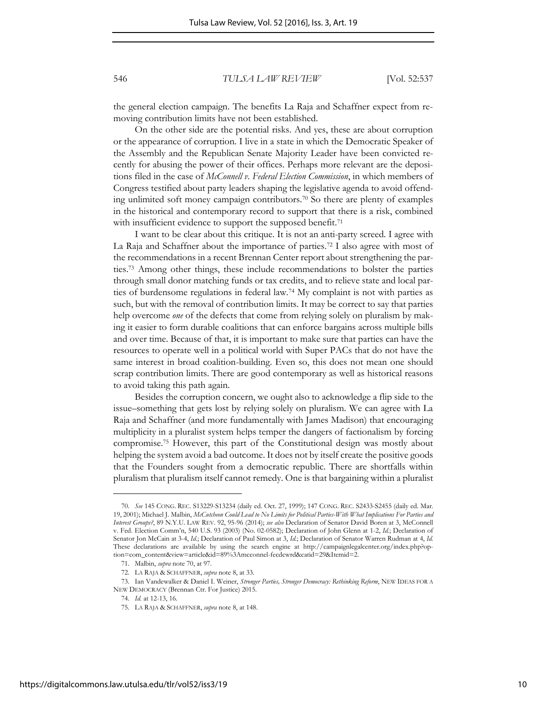the general election campaign. The benefits La Raja and Schaffner expect from removing contribution limits have not been established.

On the other side are the potential risks. And yes, these are about corruption or the appearance of corruption. I live in a state in which the Democratic Speaker of the Assembly and the Republican Senate Majority Leader have been convicted recently for abusing the power of their offices. Perhaps more relevant are the depositions filed in the case of *McConnell v. Federal Election Commission*, in which members of Congress testified about party leaders shaping the legislative agenda to avoid offending unlimited soft money campaign contributors.70 So there are plenty of examples in the historical and contemporary record to support that there is a risk, combined with insufficient evidence to support the supposed benefit.<sup>71</sup>

I want to be clear about this critique. It is not an anti-party screed. I agree with La Raja and Schaffner about the importance of parties.72 I also agree with most of the recommendations in a recent Brennan Center report about strengthening the parties.73 Among other things, these include recommendations to bolster the parties through small donor matching funds or tax credits, and to relieve state and local parties of burdensome regulations in federal law.74 My complaint is not with parties as such, but with the removal of contribution limits. It may be correct to say that parties help overcome *one* of the defects that come from relying solely on pluralism by making it easier to form durable coalitions that can enforce bargains across multiple bills and over time. Because of that, it is important to make sure that parties can have the resources to operate well in a political world with Super PACs that do not have the same interest in broad coalition-building. Even so, this does not mean one should scrap contribution limits. There are good contemporary as well as historical reasons to avoid taking this path again.

Besides the corruption concern, we ought also to acknowledge a flip side to the issue–something that gets lost by relying solely on pluralism. We can agree with La Raja and Schaffner (and more fundamentally with James Madison) that encouraging multiplicity in a pluralist system helps temper the dangers of factionalism by forcing compromise.75 However, this part of the Constitutional design was mostly about helping the system avoid a bad outcome. It does not by itself create the positive goods that the Founders sought from a democratic republic. There are shortfalls within pluralism that pluralism itself cannot remedy. One is that bargaining within a pluralist

<sup>70.</sup> *See* 145 CONG. REC. S13229-S13234 (daily ed. Oct. 27, 1999); 147 CONG. REC. S2433-S2455 (daily ed. Mar. 19, 2001); Michael J. Malbin, *McCutcheon Could Lead to No Limits for Political Parties-With What Implications For Parties and Interest Groups?*, 89 N.Y.U. LAW REV. 92, 95-96 (2014); *see also* Declaration of Senator David Boren at 3, McConnell v. Fed. Election Comm'n, 540 U.S. 93 (2003) (No. 02-0582); Declaration of John Glenn at 1-2, *Id.*; Declaration of Senator Jon McCain at 3-4, *Id.*; Declaration of Paul Simon at 3, *Id.*; Declaration of Senator Warren Rudman at 4, *Id.* These declarations are available by using the search engine at [http://campaignlegalcenter.org/index.php?op](http://campaignlegalcenter.org/index.php?option=com_content&view=article&id=89%3Amcconnel-fecdcwrd&catid=29&Itemid=2)[tion=com\\_content&view=article&id=89%3Amcconnel-fecdcwrd&catid=29&Itemid=2.](http://campaignlegalcenter.org/index.php?option=com_content&view=article&id=89%3Amcconnel-fecdcwrd&catid=29&Itemid=2) 

<sup>71.</sup> Malbin, *supra* note 70, at 97.

<sup>72.</sup> LA RAJA & SCHAFFNER, *supra* note 8, at 33*.*

<sup>73.</sup> Ian Vandewalker & Daniel I. Weiner, *Stronger Parties, Stronger Democracy: Rethinking Reform*, NEW IDEAS FOR A NEW DEMOCRACY (Brennan Ctr. For Justice) 2015.

<sup>74.</sup> *Id.* at 12-13, 16.

<sup>75.</sup> LA RAJA & SCHAFFNER, *supra* note 8, at 148.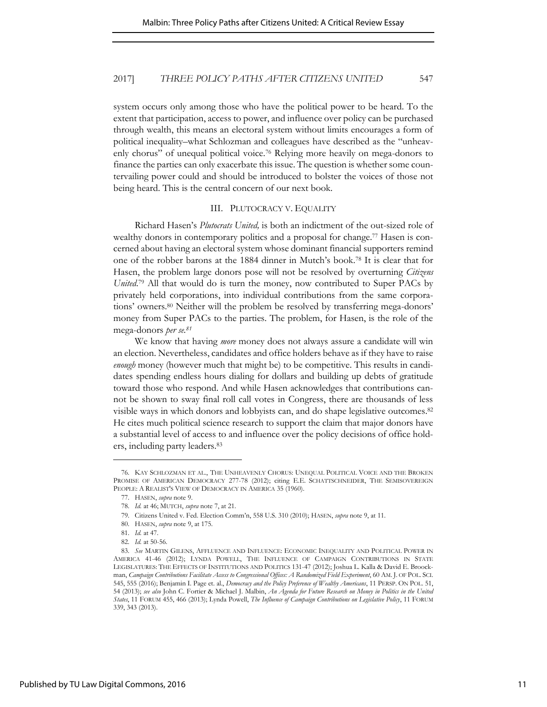system occurs only among those who have the political power to be heard. To the extent that participation, access to power, and influence over policy can be purchased through wealth, this means an electoral system without limits encourages a form of political inequality–what Schlozman and colleagues have described as the "unheavenly chorus" of unequal political voice.76 Relying more heavily on mega-donors to finance the parties can only exacerbate this issue. The question is whether some countervailing power could and should be introduced to bolster the voices of those not being heard. This is the central concern of our next book.

#### III. PLUTOCRACY V. EQUALITY

Richard Hasen's *Plutocrats United,* is both an indictment of the out-sized role of wealthy donors in contemporary politics and a proposal for change.<sup>77</sup> Hasen is concerned about having an electoral system whose dominant financial supporters remind one of the robber barons at the 1884 dinner in Mutch's book.78 It is clear that for Hasen, the problem large donors pose will not be resolved by overturning *Citizens United*. <sup>79</sup> All that would do is turn the money, now contributed to Super PACs by privately held corporations, into individual contributions from the same corporations' owners.80 Neither will the problem be resolved by transferring mega-donors' money from Super PACs to the parties. The problem, for Hasen, is the role of the mega-donors *per se.<sup>81</sup>*

We know that having *more* money does not always assure a candidate will win an election. Nevertheless, candidates and office holders behave as if they have to raise *enough* money (however much that might be) to be competitive. This results in candidates spending endless hours dialing for dollars and building up debts of gratitude toward those who respond. And while Hasen acknowledges that contributions cannot be shown to sway final roll call votes in Congress, there are thousands of less visible ways in which donors and lobbyists can, and do shape legislative outcomes.<sup>82</sup> He cites much political science research to support the claim that major donors have a substantial level of access to and influence over the policy decisions of office holders, including party leaders.<sup>83</sup>

<sup>76.</sup> KAY SCHLOZMAN ET AL., THE UNHEAVENLY CHORUS: UNEQUAL POLITICAL VOICE AND THE BROKEN PROMISE OF AMERICAN DEMOCRACY 277-78 (2012); citing E.E. SCHATTSCHNEIDER, THE SEMISOVEREIGN PEOPLE: A REALIST'S VIEW OF DEMOCRACY IN AMERICA 35 (1960).

<sup>77.</sup> HASEN, *supra* note 9.

<sup>78.</sup> *Id.* at 46; MUTCH, *supra* note 7, at 21.

<sup>79.</sup> Citizens United v. Fed. Election Comm'n, 558 U.S. 310 (2010); HASEN, *supra* note 9, at 11.

<sup>80.</sup> HASEN, *supra* note 9, at 175.

<sup>81.</sup> *Id.* at 47.

<sup>82.</sup> *Id.* at 50-56.

<sup>83.</sup> *See* MARTIN GILENS, AFFLUENCE AND INFLUENCE: ECONOMIC INEQUALITY AND POLITICAL POWER IN AMERICA 41-46 (2012); LYNDA POWELL, THE INFLUENCE OF CAMPAIGN CONTRIBUTIONS IN STATE LEGISLATURES: THE EFFECTS OF INSTITUTIONS AND POLITICS 131-47 (2012); Joshua L. Kalla & David E. Broockman, *Campaign Contributions Facilitate Access to Congressional Offices: A Randomized Field Experiment*, 60 AM. J. OF POL. SCI. 545, 555 (2016); Benjamin I. Page et. al., *Democracy and the Policy Preference of Wealthy Americans*, 11 PERSP. ON POL. 51, 54 (2013); *see also* John C. Fortier & Michael J. Malbin, *An Agenda for Future Research on Money in Politics in the United States*, 11 FORUM 455, 466 (2013); Lynda Powell, *The Influence of Campaign Contributions on Legislative Policy*, 11 FORUM 339, 343 (2013).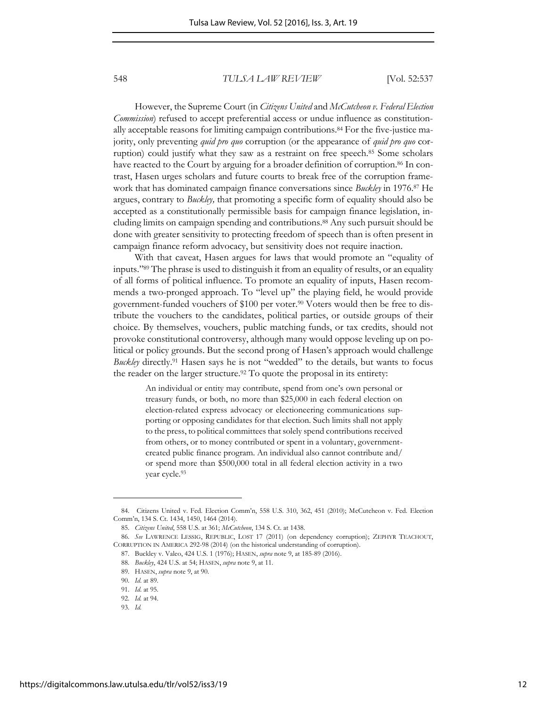However, the Supreme Court (in *Citizens United* and *McCutcheon v. Federal Election Commission*) refused to accept preferential access or undue influence as constitutionally acceptable reasons for limiting campaign contributions.84 For the five-justice majority, only preventing *quid pro quo* corruption (or the appearance of *quid pro quo* corruption) could justify what they saw as a restraint on free speech.85 Some scholars have reacted to the Court by arguing for a broader definition of corruption.<sup>86</sup> In contrast, Hasen urges scholars and future courts to break free of the corruption framework that has dominated campaign finance conversations since *Buckley* in 1976.87 He argues, contrary to *Buckley,* that promoting a specific form of equality should also be accepted as a constitutionally permissible basis for campaign finance legislation, including limits on campaign spending and contributions.88 Any such pursuit should be done with greater sensitivity to protecting freedom of speech than is often present in campaign finance reform advocacy, but sensitivity does not require inaction.

With that caveat, Hasen argues for laws that would promote an "equality of inputs." <sup>89</sup> The phrase is used to distinguish it from an equality of results, or an equality of all forms of political influence. To promote an equality of inputs, Hasen recommends a two-pronged approach. To "level up" the playing field, he would provide government-funded vouchers of \$100 per voter.<sup>90</sup> Voters would then be free to distribute the vouchers to the candidates, political parties, or outside groups of their choice. By themselves, vouchers, public matching funds, or tax credits, should not provoke constitutional controversy, although many would oppose leveling up on political or policy grounds. But the second prong of Hasen's approach would challenge *Buckley* directly.91 Hasen says he is not "wedded" to the details, but wants to focus the reader on the larger structure.<sup>92</sup> To quote the proposal in its entirety:

An individual or entity may contribute, spend from one's own personal or treasury funds, or both, no more than \$25,000 in each federal election on election-related express advocacy or electioneering communications supporting or opposing candidates for that election. Such limits shall not apply to the press, to political committees that solely spend contributions received from others, or to money contributed or spent in a voluntary, governmentcreated public finance program. An individual also cannot contribute and/ or spend more than \$500,000 total in all federal election activity in a two year cycle.<sup>93</sup>

<sup>84.</sup> Citizens United v. Fed. Election Comm'n, 558 U.S. 310, 362, 451 (2010); McCutcheon v. Fed. Election Comm'n, 134 S. Ct. 1434, 1450, 1464 (2014).

<sup>85.</sup> *Citizens United*, 558 U.S. at 361; *McCutcheon*, 134 S. Ct. at 1438.

<sup>86.</sup> *See* LAWRENCE LESSIG, REPUBLIC, LOST 17 (2011) (on dependency corruption); ZEPHYR TEACHOUT, CORRUPTION IN AMERICA 292-98 (2014) (on the historical understanding of corruption).

<sup>87.</sup> Buckley v. Valeo, 424 U.S. 1 (1976); HASEN, *supra* note 9, at 185-89 (2016).

<sup>88.</sup> *Buckley*, 424 U.S. at 54; HASEN, *supra* note 9, at 11.

<sup>89.</sup> HASEN, *supra* note 9, at 90.

<sup>90.</sup> *Id*. at 89.

<sup>91.</sup> *Id*. at 95.

<sup>92.</sup> *Id.* at 94.

<sup>93.</sup> *Id.*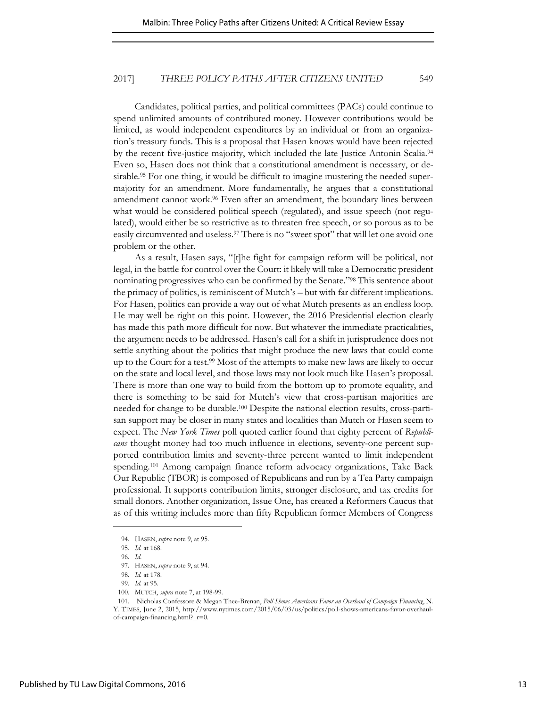Candidates, political parties, and political committees (PACs) could continue to spend unlimited amounts of contributed money. However contributions would be limited, as would independent expenditures by an individual or from an organization's treasury funds. This is a proposal that Hasen knows would have been rejected by the recent five-justice majority, which included the late Justice Antonin Scalia.<sup>94</sup> Even so, Hasen does not think that a constitutional amendment is necessary, or desirable.<sup>95</sup> For one thing, it would be difficult to imagine mustering the needed supermajority for an amendment. More fundamentally, he argues that a constitutional amendment cannot work.96 Even after an amendment, the boundary lines between what would be considered political speech (regulated), and issue speech (not regulated), would either be so restrictive as to threaten free speech, or so porous as to be easily circumvented and useless.<sup>97</sup> There is no "sweet spot" that will let one avoid one problem or the other.

As a result, Hasen says, "[t]he fight for campaign reform will be political, not legal, in the battle for control over the Court: it likely will take a Democratic president nominating progressives who can be confirmed by the Senate."98 This sentence about the primacy of politics, is reminiscent of Mutch's – but with far different implications. For Hasen, politics can provide a way out of what Mutch presents as an endless loop. He may well be right on this point. However, the 2016 Presidential election clearly has made this path more difficult for now. But whatever the immediate practicalities, the argument needs to be addressed. Hasen's call for a shift in jurisprudence does not settle anything about the politics that might produce the new laws that could come up to the Court for a test.99 Most of the attempts to make new laws are likely to occur on the state and local level, and those laws may not look much like Hasen's proposal. There is more than one way to build from the bottom up to promote equality, and there is something to be said for Mutch's view that cross-partisan majorities are needed for change to be durable.<sup>100</sup> Despite the national election results, cross-partisan support may be closer in many states and localities than Mutch or Hasen seem to expect. The *New York Times* poll quoted earlier found that eighty percent of *Republicans* thought money had too much influence in elections, seventy-one percent supported contribution limits and seventy-three percent wanted to limit independent spending.101 Among campaign finance reform advocacy organizations, Take Back Our Republic (TBOR) is composed of Republicans and run by a Tea Party campaign professional. It supports contribution limits, stronger disclosure, and tax credits for small donors. Another organization, Issue One, has created a Reformers Caucus that as of this writing includes more than fifty Republican former Members of Congress

<sup>94.</sup> HASEN, *supra* note 9, at 95.

<sup>95.</sup> *Id.* at 168.

<sup>96.</sup> *Id*.

<sup>97.</sup> HASEN, *supra* note 9, at 94.

<sup>98.</sup> *Id.* at 178.

<sup>99.</sup> *Id.* at 95.

<sup>100.</sup> MUTCH, *supra* note 7, at 198-99.

<sup>101.</sup> Nicholas Confessore & Megan Thee-Brenan, *Poll Shows Americans Favor an Overhaul of Campaign Financing*, N. Y. TIMES, June 2, 2015, http://www.nytimes.com/2015/06/03/us/politics/poll-shows-americans-favor-overhaulof-campaign-financing.html?\_r=0.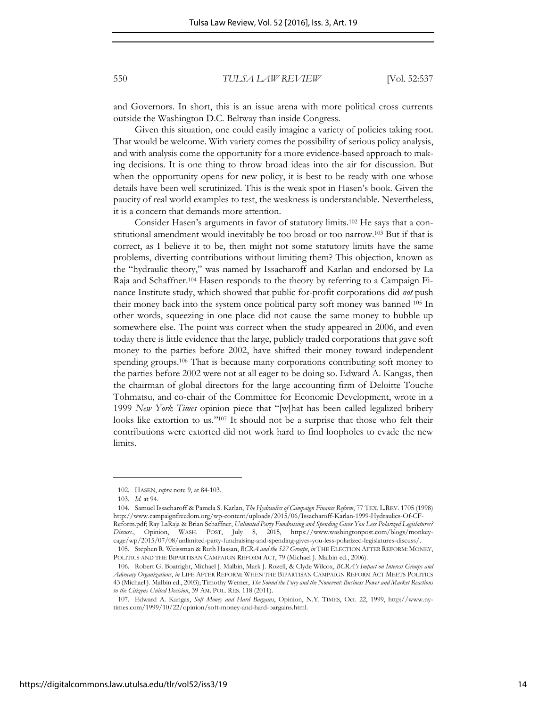and Governors. In short, this is an issue arena with more political cross currents outside the Washington D.C. Beltway than inside Congress.

Given this situation, one could easily imagine a variety of policies taking root. That would be welcome. With variety comes the possibility of serious policy analysis, and with analysis come the opportunity for a more evidence-based approach to making decisions. It is one thing to throw broad ideas into the air for discussion. But when the opportunity opens for new policy, it is best to be ready with one whose details have been well scrutinized. This is the weak spot in Hasen's book. Given the paucity of real world examples to test, the weakness is understandable. Nevertheless, it is a concern that demands more attention.

Consider Hasen's arguments in favor of statutory limits.102 He says that a constitutional amendment would inevitably be too broad or too narrow.103 But if that is correct, as I believe it to be, then might not some statutory limits have the same problems, diverting contributions without limiting them? This objection, known as the "hydraulic theory," was named by Issacharoff and Karlan and endorsed by La Raja and Schaffner.104 Hasen responds to the theory by referring to a Campaign Finance Institute study, which showed that public for-profit corporations did *not* push their money back into the system once political party soft money was banned 105 In other words, squeezing in one place did not cause the same money to bubble up somewhere else. The point was correct when the study appeared in 2006, and even today there is little evidence that the large, publicly traded corporations that gave soft money to the parties before 2002, have shifted their money toward independent spending groups.<sup>106</sup> That is because many corporations contributing soft money to the parties before 2002 were not at all eager to be doing so. Edward A. Kangas, then the chairman of global directors for the large accounting firm of Deloitte Touche Tohmatsu, and co-chair of the Committee for Economic Development, wrote in a 1999 *New York Times* opinion piece that "[w]hat has been called legalized bribery looks like extortion to us."<sup>107</sup> It should not be a surprise that those who felt their contributions were extorted did not work hard to find loopholes to evade the new limits.

<sup>102.</sup> HASEN, *supra* note 9, at 84-103.

<sup>103.</sup> *Id.* at 94.

<sup>104.</sup> Samuel Issacharoff & Pamela S. Karlan, *The Hydraulics of Campaign Finance Reform*, 77 TEX. L.REV. 1705 (1998) http://www.campaignfreedom.org/wp-content/uploads/2015/06/Issacharoff-Karlan-1999-Hydraulics-Of-CF-Reform.pdf; Ray LaRaja & Brian Schaffner, *Unlimited Party Fundraising and Spending Gives You Less Polarized Legislatures? Discuss.*, Opinion, WASH. POST, July 8, 2015, https://www.washingtonpost.com/blogs/monkeycage/wp/2015/07/08/unlimited-party-fundraising-and-spending-gives-you-less-polarized-legislatures-discuss/.

<sup>105.</sup> Stephen R. Weissman & Ruth Hassan, *BCRA and the 527 Groups*, *in* THE ELECTION AFTER REFORM: MONEY, POLITICS AND THE BIPARTISAN CAMPAIGN REFORM ACT, 79 (Michael J. Malbin ed., 2006).

<sup>106.</sup> Robert G. Boatright, Michael J. Malbin, Mark J. Rozell, & Clyde Wilcox, *BCRA's Impact on Interest Groups and Advocacy Organizations*, *in* LIFE AFTER REFORM: WHEN THE BIPARTISAN CAMPAIGN REFORM ACT MEETS POLITICS 43 (Michael J. Malbin ed., 2003); Timothy Werner, *The Sound the Fury and the Nonevent: Business Power and Market Reactions to the Citizens United Decision*, 39 AM. POL. RES. 118 (2011).

<sup>107.</sup> Edward A. Kangas, *Soft Money and Hard Bargains*, Opinion, N.Y. TIMES, Oct. 22, 1999, http://www.nytimes.com/1999/10/22/opinion/soft-money-and-hard-bargains.html.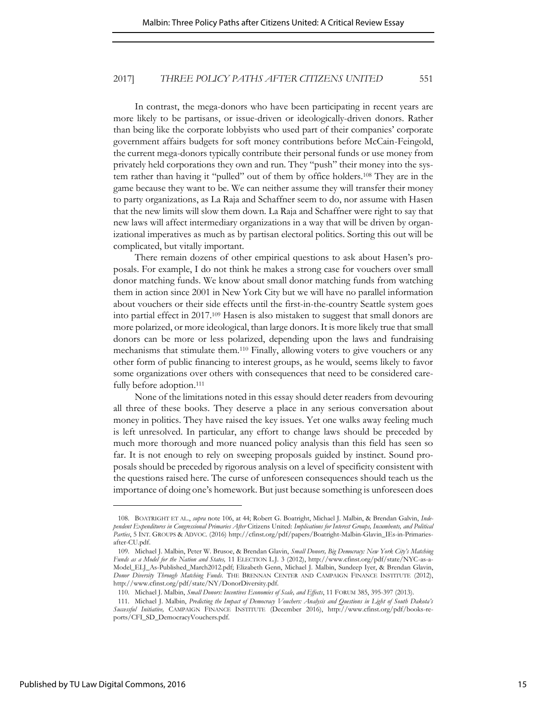In contrast, the mega-donors who have been participating in recent years are more likely to be partisans, or issue-driven or ideologically-driven donors. Rather than being like the corporate lobbyists who used part of their companies' corporate government affairs budgets for soft money contributions before McCain-Feingold, the current mega-donors typically contribute their personal funds or use money from privately held corporations they own and run. They "push" their money into the system rather than having it "pulled" out of them by office holders.108 They are in the game because they want to be. We can neither assume they will transfer their money to party organizations, as La Raja and Schaffner seem to do, nor assume with Hasen that the new limits will slow them down. La Raja and Schaffner were right to say that new laws will affect intermediary organizations in a way that will be driven by organizational imperatives as much as by partisan electoral politics. Sorting this out will be complicated, but vitally important.

There remain dozens of other empirical questions to ask about Hasen's proposals. For example, I do not think he makes a strong case for vouchers over small donor matching funds. We know about small donor matching funds from watching them in action since 2001 in New York City but we will have no parallel information about vouchers or their side effects until the first-in-the-country Seattle system goes into partial effect in 2017.109 Hasen is also mistaken to suggest that small donors are more polarized, or more ideological, than large donors. It is more likely true that small donors can be more or less polarized, depending upon the laws and fundraising mechanisms that stimulate them.110 Finally, allowing voters to give vouchers or any other form of public financing to interest groups, as he would, seems likely to favor some organizations over others with consequences that need to be considered carefully before adoption.<sup>111</sup>

None of the limitations noted in this essay should deter readers from devouring all three of these books. They deserve a place in any serious conversation about money in politics. They have raised the key issues. Yet one walks away feeling much is left unresolved. In particular, any effort to change laws should be preceded by much more thorough and more nuanced policy analysis than this field has seen so far. It is not enough to rely on sweeping proposals guided by instinct. Sound proposals should be preceded by rigorous analysis on a level of specificity consistent with the questions raised here. The curse of unforeseen consequences should teach us the importance of doing one's homework. But just because something is unforeseen does

<sup>108.</sup> BOATRIGHT ET AL., *supra* note 106, at 44; Robert G. Boatright, Michael J. Malbin, & Brendan Galvin, *Independent Expenditures in Congressional Primaries After* Citizens United: *Implications for Interest Groups, Incumbents, and Political Parties*, 5 INT. GROUPS & ADVOC. (2016) http://cfinst.org/pdf/papers/Boatright-Malbin-Glavin\_IEs-in-Primariesafter-CU.pdf.

<sup>109.</sup> Michael J. Malbin, Peter W. Brusoe, & Brendan Glavin, *Small Donors, Big Democracy: New York City's Matching Funds as a Model for the Nation and States,* 11 ELECTION L.J. 3 (2012), http://www.cfinst.org/pdf/state/NYC-as-a-Model\_ELJ\_As-Published\_March2012.pdf; Elizabeth Genn, Michael J. Malbin, Sundeep Iyer, & Brendan Glavin, *Donor Diversity Through Matching Funds*. THE BRENNAN CENTER AND CAMPAIGN FINANCE INSTITUTE (2012), http://www.cfinst.org/pdf/state/NY/DonorDiversity.pdf.

<sup>110.</sup> Michael J. Malbin, *Small Donors: Incentives Economies of Scale, and Effects*, 11 FORUM 385, 395-397 (2013).

<sup>111.</sup> Michael J. Malbin, *Predicting the Impact of Democracy Vouchers: Analysis and Questions in Light of South Dakota's Successful Initiative,* CAMPAIGN FINANCE INSTITUTE (December 2016), http://www.cfinst.org/pdf/books-reports/CFI\_SD\_DemocracyVouchers.pdf.